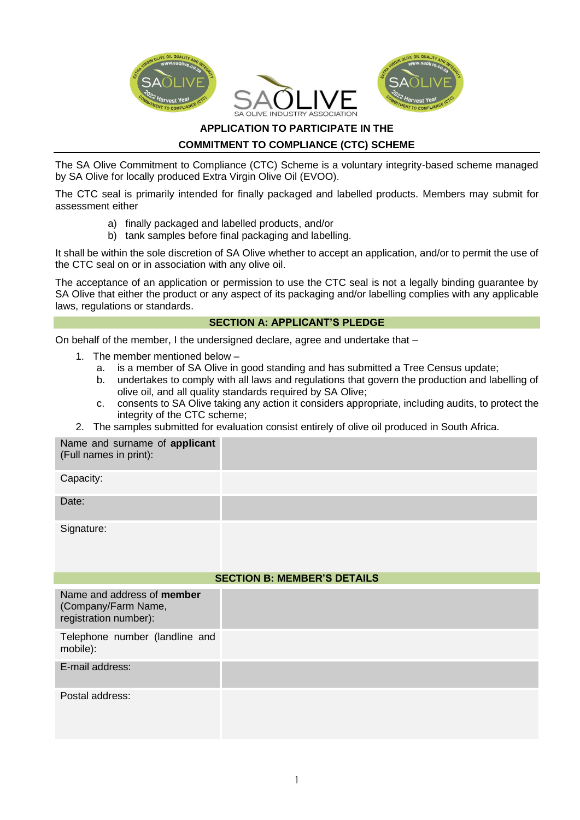

## **APPLICATION TO PARTICIPATE IN THE**

## **COMMITMENT TO COMPLIANCE (CTC) SCHEME**

The SA Olive Commitment to Compliance (CTC) Scheme is a voluntary integrity-based scheme managed by SA Olive for locally produced Extra Virgin Olive Oil (EVOO).

The CTC seal is primarily intended for finally packaged and labelled products. Members may submit for assessment either

- a) finally packaged and labelled products, and/or
- b) tank samples before final packaging and labelling.

It shall be within the sole discretion of SA Olive whether to accept an application, and/or to permit the use of the CTC seal on or in association with any olive oil.

The acceptance of an application or permission to use the CTC seal is not a legally binding guarantee by SA Olive that either the product or any aspect of its packaging and/or labelling complies with any applicable laws, regulations or standards.

### **SECTION A: APPLICANT'S PLEDGE**

On behalf of the member, I the undersigned declare, agree and undertake that –

- 1. The member mentioned below
	- a. is a member of SA Olive in good standing and has submitted a Tree Census update;
	- b. undertakes to comply with all laws and regulations that govern the production and labelling of olive oil, and all quality standards required by SA Olive;
	- c. consents to SA Olive taking any action it considers appropriate, including audits, to protect the integrity of the CTC scheme;
- 2. The samples submitted for evaluation consist entirely of olive oil produced in South Africa.

| Name and surname of applicant<br>(Full names in print): |  |
|---------------------------------------------------------|--|
| Capacity:                                               |  |
| Date:                                                   |  |
| Signature:                                              |  |
| <b>SECTION B: MEMBER'S DETAILS</b>                      |  |
| Nome and address of mambar                              |  |

| Name and address of member<br>(Company/Farm Name,<br>registration number): |  |
|----------------------------------------------------------------------------|--|
| Telephone number (landline and<br>mobile):                                 |  |
| E-mail address:                                                            |  |
| Postal address:                                                            |  |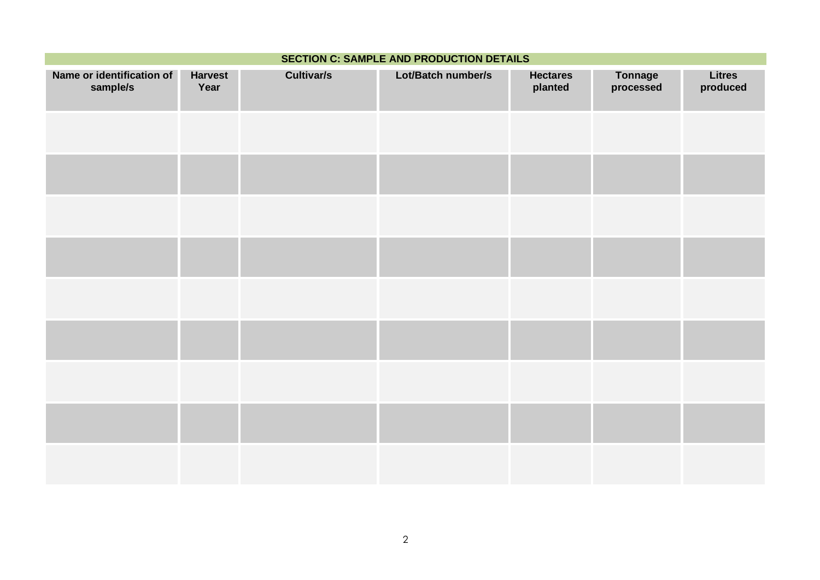| <b>SECTION C: SAMPLE AND PRODUCTION DETAILS</b> |                        |                   |                    |                            |                             |                           |
|-------------------------------------------------|------------------------|-------------------|--------------------|----------------------------|-----------------------------|---------------------------|
| Name or identification of<br>sample/s           | <b>Harvest</b><br>Year | <b>Cultivar/s</b> | Lot/Batch number/s | <b>Hectares</b><br>planted | <b>Tonnage</b><br>processed | <b>Litres</b><br>produced |
|                                                 |                        |                   |                    |                            |                             |                           |
|                                                 |                        |                   |                    |                            |                             |                           |
|                                                 |                        |                   |                    |                            |                             |                           |
|                                                 |                        |                   |                    |                            |                             |                           |
|                                                 |                        |                   |                    |                            |                             |                           |
|                                                 |                        |                   |                    |                            |                             |                           |
|                                                 |                        |                   |                    |                            |                             |                           |
|                                                 |                        |                   |                    |                            |                             |                           |
|                                                 |                        |                   |                    |                            |                             |                           |